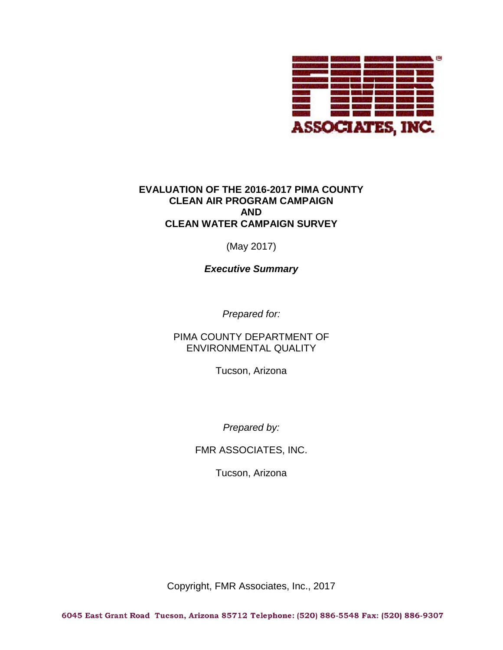

# **EVALUATION OF THE 2016-2017 PIMA COUNTY CLEAN AIR PROGRAM CAMPAIGN AND CLEAN WATER CAMPAIGN SURVEY**

(May 2017)

*Executive Summary*

*Prepared for:*

PIMA COUNTY DEPARTMENT OF ENVIRONMENTAL QUALITY

Tucson, Arizona

*Prepared by:*

FMR ASSOCIATES, INC.

Tucson, Arizona

Copyright, FMR Associates, Inc., 2017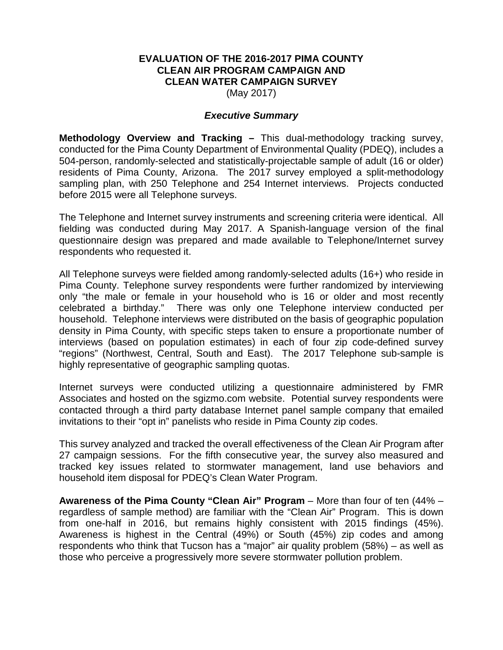# **EVALUATION OF THE 2016-2017 PIMA COUNTY CLEAN AIR PROGRAM CAMPAIGN AND CLEAN WATER CAMPAIGN SURVEY**

(May 2017)

### *Executive Summary*

**Methodology Overview and Tracking –** This dual-methodology tracking survey, conducted for the Pima County Department of Environmental Quality (PDEQ), includes a 504-person, randomly-selected and statistically-projectable sample of adult (16 or older) residents of Pima County, Arizona. The 2017 survey employed a split-methodology sampling plan, with 250 Telephone and 254 Internet interviews. Projects conducted before 2015 were all Telephone surveys.

The Telephone and Internet survey instruments and screening criteria were identical. All fielding was conducted during May 2017. A Spanish-language version of the final questionnaire design was prepared and made available to Telephone/Internet survey respondents who requested it.

All Telephone surveys were fielded among randomly-selected adults (16+) who reside in Pima County. Telephone survey respondents were further randomized by interviewing only "the male or female in your household who is 16 or older and most recently celebrated a birthday." There was only one Telephone interview conducted per household. Telephone interviews were distributed on the basis of geographic population density in Pima County, with specific steps taken to ensure a proportionate number of interviews (based on population estimates) in each of four zip code-defined survey "regions" (Northwest, Central, South and East). The 2017 Telephone sub-sample is highly representative of geographic sampling quotas.

Internet surveys were conducted utilizing a questionnaire administered by FMR Associates and hosted on the sgizmo.com website. Potential survey respondents were contacted through a third party database Internet panel sample company that emailed invitations to their "opt in" panelists who reside in Pima County zip codes.

This survey analyzed and tracked the overall effectiveness of the Clean Air Program after 27 campaign sessions. For the fifth consecutive year, the survey also measured and tracked key issues related to stormwater management, land use behaviors and household item disposal for PDEQ's Clean Water Program.

**Awareness of the Pima County "Clean Air" Program** – More than four of ten (44% – regardless of sample method) are familiar with the "Clean Air" Program. This is down from one-half in 2016, but remains highly consistent with 2015 findings (45%). Awareness is highest in the Central (49%) or South (45%) zip codes and among respondents who think that Tucson has a "major" air quality problem (58%) – as well as those who perceive a progressively more severe stormwater pollution problem.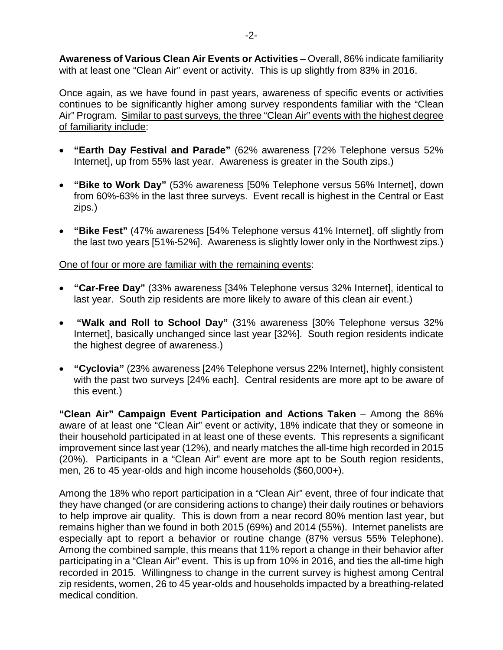**Awareness of Various Clean Air Events or Activities** – Overall, 86% indicate familiarity with at least one "Clean Air" event or activity. This is up slightly from 83% in 2016.

Once again, as we have found in past years, awareness of specific events or activities continues to be significantly higher among survey respondents familiar with the "Clean Air" Program. Similar to past surveys, the three "Clean Air" events with the highest degree of familiarity include:

- **"Earth Day Festival and Parade"** (62% awareness [72% Telephone versus 52% Internet], up from 55% last year. Awareness is greater in the South zips.)
- **"Bike to Work Day"** (53% awareness [50% Telephone versus 56% Internet], down from 60%-63% in the last three surveys. Event recall is highest in the Central or East zips.)
- **"Bike Fest"** (47% awareness [54% Telephone versus 41% Internet], off slightly from the last two years [51%-52%]. Awareness is slightly lower only in the Northwest zips.)

# One of four or more are familiar with the remaining events:

- **"Car-Free Day"** (33% awareness [34% Telephone versus 32% Internet], identical to last year. South zip residents are more likely to aware of this clean air event.)
- **"Walk and Roll to School Day"** (31% awareness [30% Telephone versus 32% Internet], basically unchanged since last year [32%]. South region residents indicate the highest degree of awareness.)
- **"Cyclovia"** (23% awareness [24% Telephone versus 22% Internet], highly consistent with the past two surveys [24% each]. Central residents are more apt to be aware of this event.)

**"Clean Air" Campaign Event Participation and Actions Taken** – Among the 86% aware of at least one "Clean Air" event or activity, 18% indicate that they or someone in their household participated in at least one of these events. This represents a significant improvement since last year (12%), and nearly matches the all-time high recorded in 2015 (20%). Participants in a "Clean Air" event are more apt to be South region residents, men, 26 to 45 year-olds and high income households (\$60,000+).

Among the 18% who report participation in a "Clean Air" event, three of four indicate that they have changed (or are considering actions to change) their daily routines or behaviors to help improve air quality. This is down from a near record 80% mention last year, but remains higher than we found in both 2015 (69%) and 2014 (55%). Internet panelists are especially apt to report a behavior or routine change (87% versus 55% Telephone). Among the combined sample, this means that 11% report a change in their behavior after participating in a "Clean Air" event. This is up from 10% in 2016, and ties the all-time high recorded in 2015. Willingness to change in the current survey is highest among Central zip residents, women, 26 to 45 year-olds and households impacted by a breathing-related medical condition.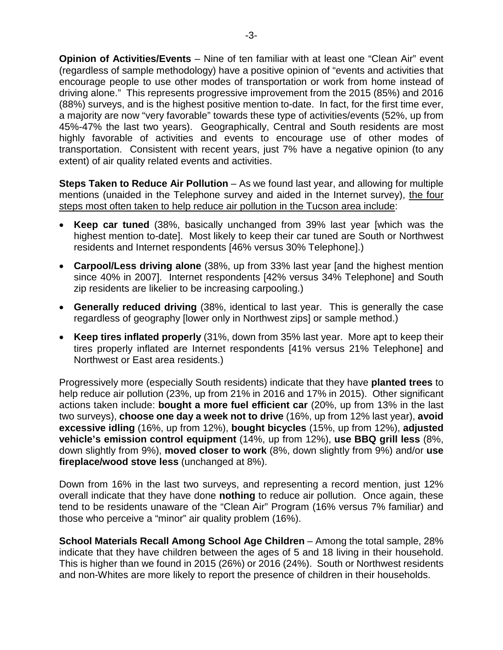**Opinion of Activities/Events** – Nine of ten familiar with at least one "Clean Air" event (regardless of sample methodology) have a positive opinion of "events and activities that encourage people to use other modes of transportation or work from home instead of driving alone." This represents progressive improvement from the 2015 (85%) and 2016 (88%) surveys, and is the highest positive mention to-date. In fact, for the first time ever, a majority are now "very favorable" towards these type of activities/events (52%, up from 45%-47% the last two years). Geographically, Central and South residents are most highly favorable of activities and events to encourage use of other modes of transportation. Consistent with recent years, just 7% have a negative opinion (to any extent) of air quality related events and activities.

**Steps Taken to Reduce Air Pollution** – As we found last year, and allowing for multiple mentions (unaided in the Telephone survey and aided in the Internet survey), the four steps most often taken to help reduce air pollution in the Tucson area include:

- **Keep car tuned** (38%, basically unchanged from 39% last year [which was the highest mention to-date]. Most likely to keep their car tuned are South or Northwest residents and Internet respondents [46% versus 30% Telephone].)
- **Carpool/Less driving alone** (38%, up from 33% last year [and the highest mention since 40% in 2007]. Internet respondents [42% versus 34% Telephone] and South zip residents are likelier to be increasing carpooling.)
- **Generally reduced driving** (38%, identical to last year. This is generally the case regardless of geography [lower only in Northwest zips] or sample method.)
- **Keep tires inflated properly** (31%, down from 35% last year. More apt to keep their tires properly inflated are Internet respondents [41% versus 21% Telephone] and Northwest or East area residents.)

Progressively more (especially South residents) indicate that they have **planted trees** to help reduce air pollution (23%, up from 21% in 2016 and 17% in 2015). Other significant actions taken include: **bought a more fuel efficient car** (20%, up from 13% in the last two surveys), **choose one day a week not to drive** (16%, up from 12% last year), **avoid excessive idling** (16%, up from 12%), **bought bicycles** (15%, up from 12%), **adjusted vehicle's emission control equipment** (14%, up from 12%), **use BBQ grill less** (8%, down slightly from 9%), **moved closer to work** (8%, down slightly from 9%) and/or **use fireplace/wood stove less** (unchanged at 8%).

Down from 16% in the last two surveys, and representing a record mention, just 12% overall indicate that they have done **nothing** to reduce air pollution. Once again, these tend to be residents unaware of the "Clean Air" Program (16% versus 7% familiar) and those who perceive a "minor" air quality problem (16%).

**School Materials Recall Among School Age Children** – Among the total sample, 28% indicate that they have children between the ages of 5 and 18 living in their household. This is higher than we found in 2015 (26%) or 2016 (24%). South or Northwest residents and non-Whites are more likely to report the presence of children in their households.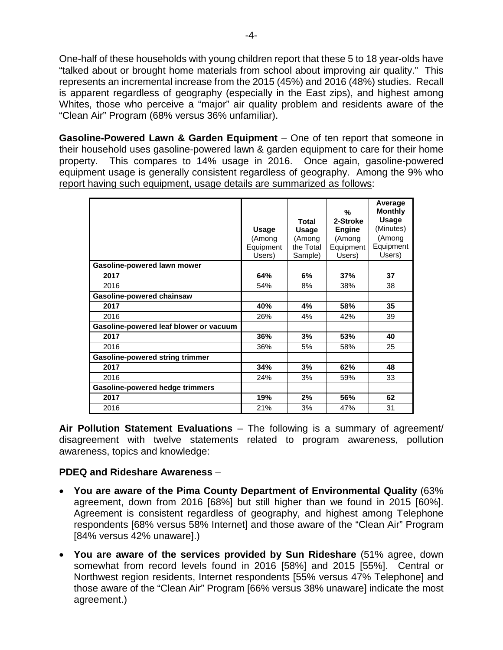One-half of these households with young children report that these 5 to 18 year-olds have "talked about or brought home materials from school about improving air quality." This represents an incremental increase from the 2015 (45%) and 2016 (48%) studies. Recall is apparent regardless of geography (especially in the East zips), and highest among Whites, those who perceive a "major" air quality problem and residents aware of the "Clean Air" Program (68% versus 36% unfamiliar).

**Gasoline-Powered Lawn & Garden Equipment** – One of ten report that someone in their household uses gasoline-powered lawn & garden equipment to care for their home property. This compares to 14% usage in 2016. Once again, gasoline-powered equipment usage is generally consistent regardless of geography. Among the 9% who report having such equipment, usage details are summarized as follows:

|                                        | <b>Usage</b><br>(Among<br>Equipment<br>Users) | Total<br><b>Usage</b><br>(Among<br>the Total<br>Sample) | %<br>2-Stroke<br><b>Engine</b><br>(Among<br>Equipment<br>Users) | Average<br><b>Monthly</b><br>Usage<br>(Minutes)<br>(Among<br>Equipment<br>Users) |
|----------------------------------------|-----------------------------------------------|---------------------------------------------------------|-----------------------------------------------------------------|----------------------------------------------------------------------------------|
| Gasoline-powered lawn mower            |                                               |                                                         |                                                                 |                                                                                  |
| 2017                                   | 64%                                           | 6%                                                      | 37%                                                             | 37                                                                               |
| 2016                                   | 54%                                           | 8%                                                      | 38%                                                             | 38                                                                               |
| Gasoline-powered chainsaw              |                                               |                                                         |                                                                 |                                                                                  |
| 2017                                   | 40%                                           | 4%                                                      | 58%                                                             | 35                                                                               |
| 2016                                   | 26%                                           | 4%                                                      | 42%                                                             | 39                                                                               |
| Gasoline-powered leaf blower or vacuum |                                               |                                                         |                                                                 |                                                                                  |
| 2017                                   | 36%                                           | 3%                                                      | 53%                                                             | 40                                                                               |
| 2016                                   | 36%                                           | 5%                                                      | 58%                                                             | 25                                                                               |
| <b>Gasoline-powered string trimmer</b> |                                               |                                                         |                                                                 |                                                                                  |
| 2017                                   | 34%                                           | 3%                                                      | 62%                                                             | 48                                                                               |
| 2016                                   | 24%                                           | 3%                                                      | 59%                                                             | 33                                                                               |
| <b>Gasoline-powered hedge trimmers</b> |                                               |                                                         |                                                                 |                                                                                  |
| 2017                                   | 19%                                           | 2%                                                      | 56%                                                             | 62                                                                               |
| 2016                                   | 21%                                           | 3%                                                      | 47%                                                             | 31                                                                               |

**Air Pollution Statement Evaluations** – The following is a summary of agreement/ disagreement with twelve statements related to program awareness, pollution awareness, topics and knowledge:

# **PDEQ and Rideshare Awareness** –

- **You are aware of the Pima County Department of Environmental Quality** (63% agreement, down from 2016 [68%] but still higher than we found in 2015 [60%]. Agreement is consistent regardless of geography, and highest among Telephone respondents [68% versus 58% Internet] and those aware of the "Clean Air" Program [84% versus 42% unaware].)
- **You are aware of the services provided by Sun Rideshare** (51% agree, down somewhat from record levels found in 2016 [58%] and 2015 [55%]. Central or Northwest region residents, Internet respondents [55% versus 47% Telephone] and those aware of the "Clean Air" Program [66% versus 38% unaware] indicate the most agreement.)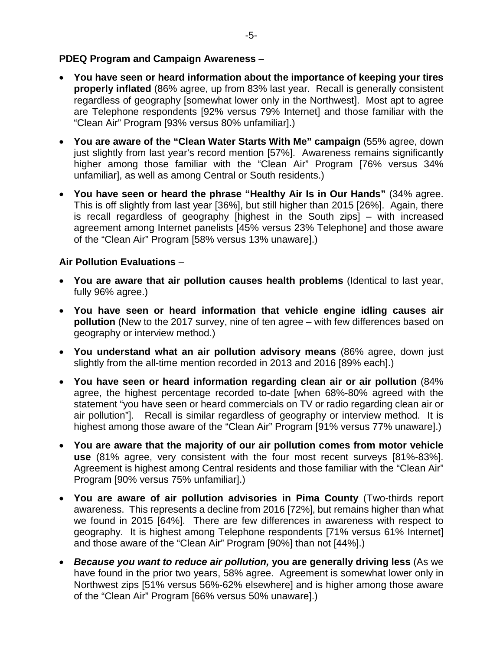# **PDEQ Program and Campaign Awareness** –

- **You have seen or heard information about the importance of keeping your tires properly inflated** (86% agree, up from 83% last year. Recall is generally consistent regardless of geography [somewhat lower only in the Northwest]. Most apt to agree are Telephone respondents [92% versus 79% Internet] and those familiar with the "Clean Air" Program [93% versus 80% unfamiliar].)
- **You are aware of the "Clean Water Starts With Me" campaign** (55% agree, down just slightly from last year's record mention [57%]. Awareness remains significantly higher among those familiar with the "Clean Air" Program [76% versus 34% unfamiliar], as well as among Central or South residents.)
- **You have seen or heard the phrase "Healthy Air Is in Our Hands"** (34% agree. This is off slightly from last year [36%], but still higher than 2015 [26%]. Again, there is recall regardless of geography [highest in the South zips] – with increased agreement among Internet panelists [45% versus 23% Telephone] and those aware of the "Clean Air" Program [58% versus 13% unaware].)

# **Air Pollution Evaluations** –

- **You are aware that air pollution causes health problems** (Identical to last year, fully 96% agree.)
- **You have seen or heard information that vehicle engine idling causes air pollution** (New to the 2017 survey, nine of ten agree – with few differences based on geography or interview method.)
- **You understand what an air pollution advisory means** (86% agree, down just slightly from the all-time mention recorded in 2013 and 2016 [89% each].)
- **You have seen or heard information regarding clean air or air pollution** (84% agree, the highest percentage recorded to-date [when 68%-80% agreed with the statement "you have seen or heard commercials on TV or radio regarding clean air or air pollution"]. Recall is similar regardless of geography or interview method. It is highest among those aware of the "Clean Air" Program [91% versus 77% unaware].)
- **You are aware that the majority of our air pollution comes from motor vehicle use** (81% agree, very consistent with the four most recent surveys [81%-83%]. Agreement is highest among Central residents and those familiar with the "Clean Air" Program [90% versus 75% unfamiliar].)
- **You are aware of air pollution advisories in Pima County** (Two-thirds report awareness. This represents a decline from 2016 [72%], but remains higher than what we found in 2015 [64%]. There are few differences in awareness with respect to geography. It is highest among Telephone respondents [71% versus 61% Internet] and those aware of the "Clean Air" Program [90%] than not [44%].)
- *Because you want to reduce air pollution,* **you are generally driving less** (As we have found in the prior two years, 58% agree. Agreement is somewhat lower only in Northwest zips [51% versus 56%-62% elsewhere] and is higher among those aware of the "Clean Air" Program [66% versus 50% unaware].)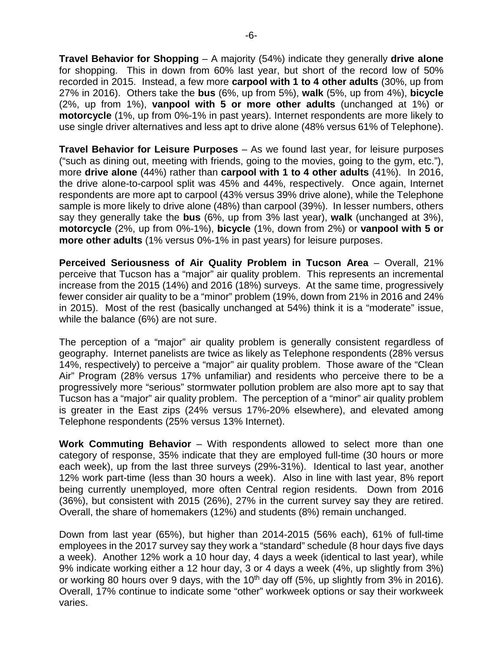**Travel Behavior for Shopping** – A majority (54%) indicate they generally **drive alone** for shopping. This in down from 60% last year, but short of the record low of 50% recorded in 2015. Instead, a few more **carpool with 1 to 4 other adults** (30%, up from 27% in 2016). Others take the **bus** (6%, up from 5%), **walk** (5%, up from 4%), **bicycle** (2%, up from 1%), **vanpool with 5 or more other adults** (unchanged at 1%) or **motorcycle** (1%, up from 0%-1% in past years). Internet respondents are more likely to use single driver alternatives and less apt to drive alone (48% versus 61% of Telephone).

**Travel Behavior for Leisure Purposes** – As we found last year, for leisure purposes ("such as dining out, meeting with friends, going to the movies, going to the gym, etc."), more **drive alone** (44%) rather than **carpool with 1 to 4 other adults** (41%). In 2016, the drive alone-to-carpool split was 45% and 44%, respectively. Once again, Internet respondents are more apt to carpool (43% versus 39% drive alone), while the Telephone sample is more likely to drive alone (48%) than carpool (39%). In lesser numbers, others say they generally take the **bus** (6%, up from 3% last year), **walk** (unchanged at 3%), **motorcycle** (2%, up from 0%-1%), **bicycle** (1%, down from 2%) or **vanpool with 5 or more other adults** (1% versus 0%-1% in past years) for leisure purposes.

**Perceived Seriousness of Air Quality Problem in Tucson Area** – Overall, 21% perceive that Tucson has a "major" air quality problem. This represents an incremental increase from the 2015 (14%) and 2016 (18%) surveys. At the same time, progressively fewer consider air quality to be a "minor" problem (19%, down from 21% in 2016 and 24% in 2015). Most of the rest (basically unchanged at 54%) think it is a "moderate" issue, while the balance (6%) are not sure.

The perception of a "major" air quality problem is generally consistent regardless of geography. Internet panelists are twice as likely as Telephone respondents (28% versus 14%, respectively) to perceive a "major" air quality problem. Those aware of the "Clean Air" Program (28% versus 17% unfamiliar) and residents who perceive there to be a progressively more "serious" stormwater pollution problem are also more apt to say that Tucson has a "major" air quality problem. The perception of a "minor" air quality problem is greater in the East zips (24% versus 17%-20% elsewhere), and elevated among Telephone respondents (25% versus 13% Internet).

**Work Commuting Behavior** – With respondents allowed to select more than one category of response, 35% indicate that they are employed full-time (30 hours or more each week), up from the last three surveys (29%-31%). Identical to last year, another 12% work part-time (less than 30 hours a week). Also in line with last year, 8% report being currently unemployed, more often Central region residents. Down from 2016 (36%), but consistent with 2015 (26%), 27% in the current survey say they are retired. Overall, the share of homemakers (12%) and students (8%) remain unchanged.

Down from last year (65%), but higher than 2014-2015 (56% each), 61% of full-time employees in the 2017 survey say they work a "standard" schedule (8 hour days five days a week). Another 12% work a 10 hour day, 4 days a week (identical to last year), while 9% indicate working either a 12 hour day, 3 or 4 days a week (4%, up slightly from 3%) or working 80 hours over 9 days, with the  $10<sup>th</sup>$  day off (5%, up slightly from 3% in 2016). Overall, 17% continue to indicate some "other" workweek options or say their workweek varies.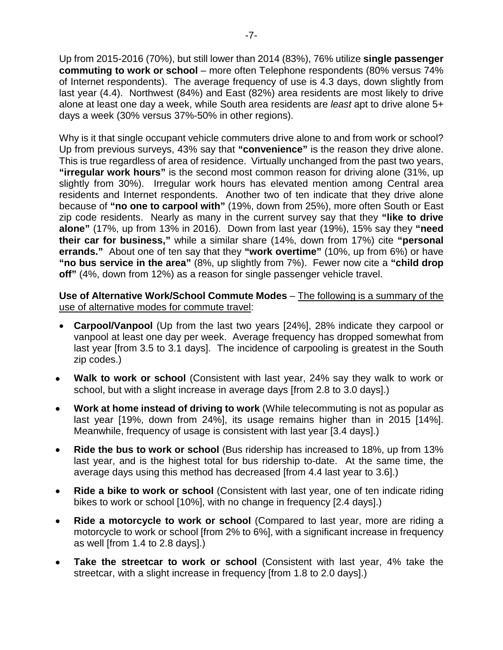Up from 2015-2016 (70%), but still lower than 2014 (83%), 76% utilize **single passenger commuting to work or school** – more often Telephone respondents (80% versus 74% of Internet respondents). The average frequency of use is 4.3 days, down slightly from last year (4.4). Northwest (84%) and East (82%) area residents are most likely to drive alone at least one day a week, while South area residents are *least* apt to drive alone 5+ days a week (30% versus 37%-50% in other regions).

Why is it that single occupant vehicle commuters drive alone to and from work or school? Up from previous surveys, 43% say that **"convenience"** is the reason they drive alone. This is true regardless of area of residence. Virtually unchanged from the past two years, **"irregular work hours"** is the second most common reason for driving alone (31%, up slightly from 30%). Irregular work hours has elevated mention among Central area residents and Internet respondents. Another two of ten indicate that they drive alone because of **"no one to carpool with"** (19%, down from 25%), more often South or East zip code residents. Nearly as many in the current survey say that they **"like to drive alone"** (17%, up from 13% in 2016). Down from last year (19%), 15% say they **"need their car for business,"** while a similar share (14%, down from 17%) cite **"personal errands."** About one of ten say that they **"work overtime"** (10%, up from 6%) or have **"no bus service in the area"** (8%, up slightly from 7%). Fewer now cite a **"child drop off"** (4%, down from 12%) as a reason for single passenger vehicle travel.

**Use of Alternative Work/School Commute Modes** – The following is a summary of the use of alternative modes for commute travel:

- **Carpool/Vanpool** (Up from the last two years [24%], 28% indicate they carpool or vanpool at least one day per week. Average frequency has dropped somewhat from last year [from 3.5 to 3.1 days]. The incidence of carpooling is greatest in the South zip codes.)
- **Walk to work or school** (Consistent with last year, 24% say they walk to work or school, but with a slight increase in average days [from 2.8 to 3.0 days].)
- **Work at home instead of driving to work** (While telecommuting is not as popular as last year [19%, down from 24%], its usage remains higher than in 2015 [14%]. Meanwhile, frequency of usage is consistent with last year [3.4 days].)
- **Ride the bus to work or school** (Bus ridership has increased to 18%, up from 13% last year, and is the highest total for bus ridership to-date. At the same time, the average days using this method has decreased [from 4.4 last year to 3.6].)
- **Ride a bike to work or school** (Consistent with last year, one of ten indicate riding bikes to work or school [10%], with no change in frequency [2.4 days].)
- **Ride a motorcycle to work or school** (Compared to last year, more are riding a motorcycle to work or school [from 2% to 6%], with a significant increase in frequency as well [from 1.4 to 2.8 days].)
- **Take the streetcar to work or school** (Consistent with last year, 4% take the streetcar, with a slight increase in frequency [from 1.8 to 2.0 days].)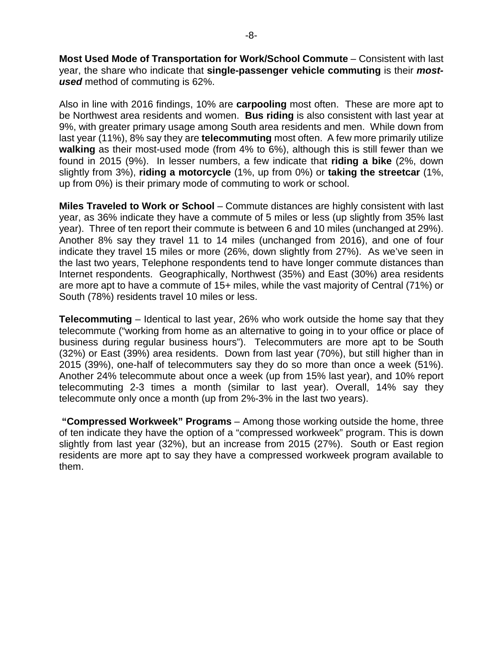**Most Used Mode of Transportation for Work/School Commute** – Consistent with last year, the share who indicate that **single-passenger vehicle commuting** is their *mostused* method of commuting is 62%.

Also in line with 2016 findings, 10% are **carpooling** most often. These are more apt to be Northwest area residents and women. **Bus riding** is also consistent with last year at 9%, with greater primary usage among South area residents and men. While down from last year (11%), 8% say they are **telecommuting** most often. A few more primarily utilize **walking** as their most-used mode (from 4% to 6%), although this is still fewer than we found in 2015 (9%). In lesser numbers, a few indicate that **riding a bike** (2%, down slightly from 3%), **riding a motorcycle** (1%, up from 0%) or **taking the streetcar** (1%, up from 0%) is their primary mode of commuting to work or school.

**Miles Traveled to Work or School** – Commute distances are highly consistent with last year, as 36% indicate they have a commute of 5 miles or less (up slightly from 35% last year). Three of ten report their commute is between 6 and 10 miles (unchanged at 29%). Another 8% say they travel 11 to 14 miles (unchanged from 2016), and one of four indicate they travel 15 miles or more (26%, down slightly from 27%). As we've seen in the last two years, Telephone respondents tend to have longer commute distances than Internet respondents. Geographically, Northwest (35%) and East (30%) area residents are more apt to have a commute of 15+ miles, while the vast majority of Central (71%) or South (78%) residents travel 10 miles or less.

**Telecommuting** – Identical to last year, 26% who work outside the home say that they telecommute ("working from home as an alternative to going in to your office or place of business during regular business hours"). Telecommuters are more apt to be South (32%) or East (39%) area residents. Down from last year (70%), but still higher than in 2015 (39%), one-half of telecommuters say they do so more than once a week (51%). Another 24% telecommute about once a week (up from 15% last year), and 10% report telecommuting 2-3 times a month (similar to last year). Overall, 14% say they telecommute only once a month (up from 2%-3% in the last two years).

**"Compressed Workweek" Programs** – Among those working outside the home, three of ten indicate they have the option of a "compressed workweek" program. This is down slightly from last year (32%), but an increase from 2015 (27%). South or East region residents are more apt to say they have a compressed workweek program available to them.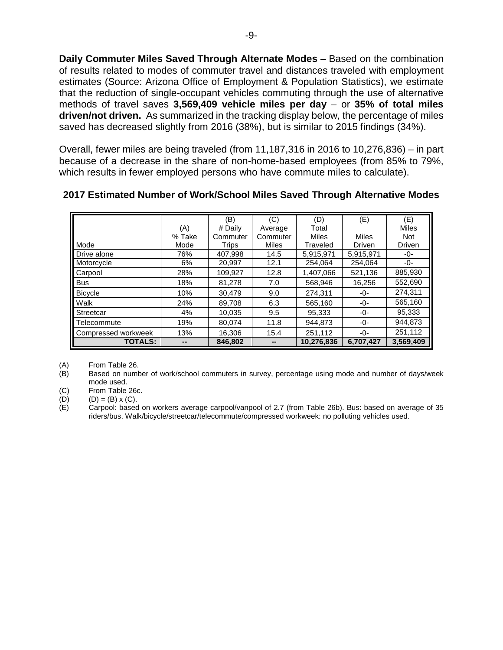**Daily Commuter Miles Saved Through Alternate Modes** – Based on the combination of results related to modes of commuter travel and distances traveled with employment estimates (Source: Arizona Office of Employment & Population Statistics), we estimate that the reduction of single-occupant vehicles commuting through the use of alternative methods of travel saves **3,569,409 vehicle miles per day** – or **35% of total miles driven/not driven.** As summarized in the tracking display below, the percentage of miles saved has decreased slightly from 2016 (38%), but is similar to 2015 findings (34%).

Overall, fewer miles are being traveled (from 11,187,316 in 2016 to 10,276,836) – in part because of a decrease in the share of non-home-based employees (from 85% to 79%, which results in fewer employed persons who have commute miles to calculate).

|                       |        | (B)      | (C)      | (D)        | (E)       | (E)          |
|-----------------------|--------|----------|----------|------------|-----------|--------------|
|                       | (A)    | # Dailv  | Average  | Total      |           | <b>Miles</b> |
|                       | % Take | Commuter | Commuter | Miles      | Miles     | <b>Not</b>   |
| Mode                  | Mode   | Trips    | Miles    | Traveled   | Driven    | Driven       |
| <b>II</b> Drive alone | 76%    | 407,998  | 14.5     | 5,915,971  | 5,915,971 | -0-          |
| Motorcycle            | 6%     | 20,997   | 12.1     | 254.064    | 254,064   | -0-          |
| Carpool               | 28%    | 109,927  | 12.8     | 1,407,066  | 521,136   | 885,930      |
| <b>Bus</b>            | 18%    | 81.278   | 7.0      | 568,946    | 16,256    | 552,690      |
| <b>Bicycle</b>        | 10%    | 30,479   | 9.0      | 274,311    | -0-       | 274.311      |
| <b>Walk</b>           | 24%    | 89.708   | 6.3      | 565.160    | -0-       | 565,160      |
| <b>Streetcar</b>      | 4%     | 10,035   | 9.5      | 95,333     | -0-       | 95,333       |
| Il Telecommute        | 19%    | 80.074   | 11.8     | 944.873    | -0-       | 944,873      |
| Compressed workweek   | 13%    | 16,306   | 15.4     | 251,112    | -0-       | 251,112      |
| <b>TOTALS:</b>        |        | 846,802  |          | 10,276,836 | 6,707,427 | 3,569,409    |

# **2017 Estimated Number of Work/School Miles Saved Through Alternative Modes**

(A) From Table 26.<br>(B) Based on numb Based on number of work/school commuters in survey, percentage using mode and number of days/week mode used.

(C) From Table 26c.

(D)  $(D) = (B) \times (C)$ .

(E) Carpool: based on workers average carpool/vanpool of 2.7 (from Table 26b). Bus: based on average of 35 riders/bus. Walk/bicycle/streetcar/telecommute/compressed workweek: no polluting vehicles used.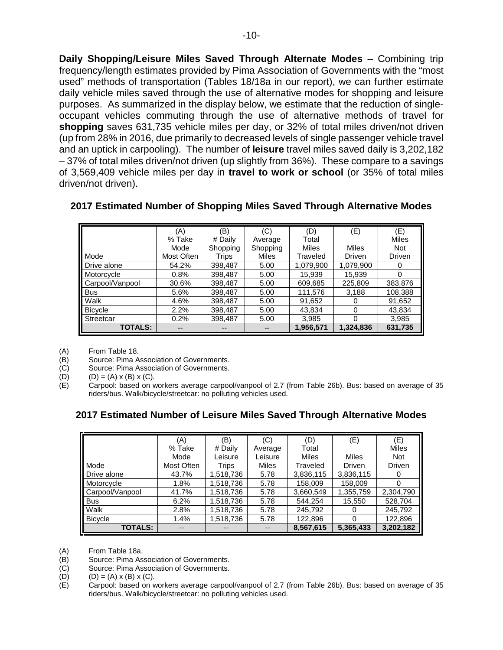**Daily Shopping/Leisure Miles Saved Through Alternate Modes** – Combining trip frequency/length estimates provided by Pima Association of Governments with the "most used" methods of transportation (Tables 18/18a in our report), we can further estimate daily vehicle miles saved through the use of alternative modes for shopping and leisure purposes. As summarized in the display below, we estimate that the reduction of singleoccupant vehicles commuting through the use of alternative methods of travel for **shopping** saves 631,735 vehicle miles per day, or 32% of total miles driven/not driven (up from 28% in 2016, due primarily to decreased levels of single passenger vehicle travel and an uptick in carpooling).The number of **leisure** travel miles saved daily is 3,202,182 – 37% of total miles driven/not driven (up slightly from 36%). These compare to a savings of 3,569,409 vehicle miles per day in **travel to work or school** (or 35% of total miles driven/not driven).

|                 | (A)        | (B)      | (C)          | (D)          | (E)           | (E)           |
|-----------------|------------|----------|--------------|--------------|---------------|---------------|
|                 | % Take     | # Daily  | Average      | Total        |               | <b>Miles</b>  |
|                 | Mode       | Shopping | Shopping     | <b>Miles</b> | <b>Miles</b>  | <b>Not</b>    |
| Mode            | Most Often | Trips    | <b>Miles</b> | Traveled     | <b>Driven</b> | <b>Driven</b> |
| Drive alone     | 54.2%      | 398,487  | 5.00         | 1,079,900    | 1,079,900     |               |
| Motorcycle      | 0.8%       | 398,487  | 5.00         | 15,939       | 15,939        |               |
| Carpool/Vanpool | 30.6%      | 398,487  | 5.00         | 609,685      | 225,809       | 383,876       |
| <b>Bus</b>      | 5.6%       | 398,487  | 5.00         | 111,576      | 3,188         | 108,388       |
| Walk            | 4.6%       | 398,487  | 5.00         | 91,652       | 0             | 91,652        |
| <b>Bicycle</b>  | 2.2%       | 398,487  | 5.00         | 43,834       | $\Omega$      | 43,834        |
| Streetcar       | 0.2%       | 398,487  | 5.00         | 3,985        | $\Omega$      | 3,985         |
| <b>TOTALS:</b>  |            |          |              | 1,956,571    | 1,324,836     | 631,735       |

### **2017 Estimated Number of Shopping Miles Saved Through Alternative Modes**

(A) From Table 18.

(B) Source: Pima Association of Governments.

(C) Source: Pima Association of Governments.

(D)  $(D) = (A) \times (B) \times (C)$ .

(E) Carpool: based on workers average carpool/vanpool of 2.7 (from Table 26b). Bus: based on average of 35 riders/bus. Walk/bicycle/streetcar: no polluting vehicles used.

# **2017 Estimated Number of Leisure Miles Saved Through Alternative Modes**

|                 | (A)        | (B)       | (C)          | $\left( \mathsf{D}\right)$ | (E)       | (E)           |
|-----------------|------------|-----------|--------------|----------------------------|-----------|---------------|
|                 | % Take     | # Daily   | Average      | Total                      |           | <b>Miles</b>  |
|                 | Mode       | Leisure   | Leisure      | <b>Miles</b>               | Miles     | <b>Not</b>    |
| Mode            | Most Often | Trips     | <b>Miles</b> | Traveled                   | Driven    | <b>Driven</b> |
| Drive alone     | 43.7%      | 1,518,736 | 5.78         | 3,836,115                  | 3,836,115 | $\theta$      |
| Motorcycle      | 1.8%       | 1,518,736 | 5.78         | 158,009                    | 158,009   |               |
| Carpool/Vanpool | 41.7%      | 1,518,736 | 5.78         | 3,660,549                  | 1,355,759 | 2,304,790     |
| <b>Bus</b>      | 6.2%       | 1,518,736 | 5.78         | 544,254                    | 15,550    | 528,704       |
| Walk            | 2.8%       | 1,518,736 | 5.78         | 245,792                    | 0         | 245,792       |
| <b>Bicycle</b>  | 1.4%       | 1,518,736 | 5.78         | 122,896                    | 0         | 122,896       |
| <b>TOTALS:</b>  |            |           |              | 8,567,615                  | 5,365,433 | 3,202,182     |

(A) From Table 18a.<br>(B) Source: Pima As

(B) Source: Pima Association of Governments.<br>(C) Source: Pima Association of Governments.

(C) Source: Pima Association of Governments.<br>(D)  $(D) = (A) \times (B) \times (C)$ .

 $(D) = (A) \times (B) \times (C)$ .

(E) Carpool: based on workers average carpool/vanpool of 2.7 (from Table 26b). Bus: based on average of 35 riders/bus. Walk/bicycle/streetcar: no polluting vehicles used.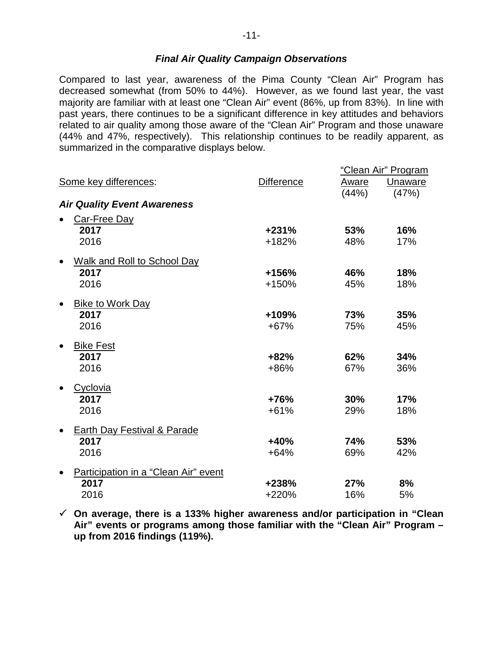# *Final Air Quality Campaign Observations*

Compared to last year, awareness of the Pima County "Clean Air" Program has decreased somewhat (from 50% to 44%). However, as we found last year, the vast majority are familiar with at least one "Clean Air" event (86%, up from 83%). In line with past years, there continues to be a significant difference in key attitudes and behaviors related to air quality among those aware of the "Clean Air" Program and those unaware (44% and 47%, respectively). This relationship continues to be readily apparent, as summarized in the comparative displays below.

|                                      |                   |            | "Clean Air" Program |
|--------------------------------------|-------------------|------------|---------------------|
| Some key differences:                | <b>Difference</b> | Aware      | Unaware             |
|                                      |                   | (44%)      | (47%)               |
| <b>Air Quality Event Awareness</b>   |                   |            |                     |
| Car-Free Day                         |                   |            |                     |
| 2017                                 | $+231%$           | 53%        | 16%                 |
| 2016                                 | +182%             | 48%        | 17%                 |
| <b>Walk and Roll to School Day</b>   |                   |            |                     |
| 2017                                 | +156%             | 46%        | 18%                 |
| 2016                                 | +150%             | 45%        | 18%                 |
| <b>Bike to Work Day</b>              |                   |            |                     |
| 2017                                 | +109%             | 73%        | 35%                 |
| 2016                                 | $+67%$            | 75%        | 45%                 |
| <b>Bike Fest</b>                     |                   |            |                     |
| 2017                                 | $+82%$            | 62%        | 34%                 |
| 2016                                 | +86%              | 67%        | 36%                 |
| Cyclovia                             |                   |            |                     |
| 2017                                 | $+76%$            | 30%        | 17%                 |
| 2016                                 | $+61%$            | 29%        | 18%                 |
| Earth Day Festival & Parade          |                   |            |                     |
| 2017                                 | $+40%$            | <b>74%</b> | 53%                 |
| 2016                                 | $+64%$            | 69%        | 42%                 |
| Participation in a "Clean Air" event |                   |            |                     |
| 2017                                 | +238%             | 27%        | 8%                  |
| 2016                                 | +220%             | 16%        | 5%                  |

 **On average, there is a 133% higher awareness and/or participation in "Clean Air" events or programs among those familiar with the "Clean Air" Program – up from 2016 findings (119%).**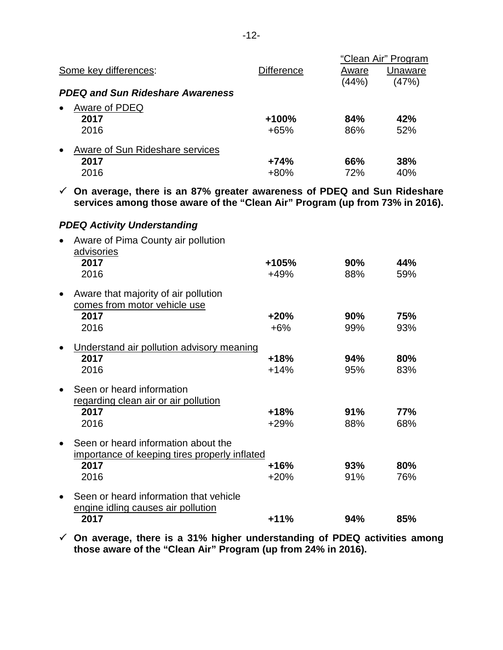|                                              |            |            | "Clean Air" Program |
|----------------------------------------------|------------|------------|---------------------|
| Some key differences:                        | Difference | Aware      | Unaware             |
|                                              |            | (44% )     | (47%)               |
| <b>PDEQ and Sun Rideshare Awareness</b>      |            |            |                     |
| Aware of PDEQ<br>$\bullet$                   |            |            |                     |
| 2017                                         | $+100%$    | 84%        | 42%                 |
| 2016                                         | +65%       | 86%        | 52%                 |
| Aware of Sun Rideshare services<br>$\bullet$ |            |            |                     |
| 2017                                         | $+74%$     | <b>66%</b> | 38%                 |
| 2016                                         | $+80%$     | 72%        | 40%                 |

 **On average, there is an 87% greater awareness of PDEQ and Sun Rideshare services among those aware of the "Clean Air" Program (up from 73% in 2016).**

# *PDEQ Activity Understanding*

|           | Aware of Pima County air pollution<br>advisories                     |        |     |            |
|-----------|----------------------------------------------------------------------|--------|-----|------------|
|           | 2017                                                                 | +105%  | 90% | 44%        |
|           | 2016                                                                 | $+49%$ | 88% | 59%        |
| $\bullet$ | Aware that majority of air pollution<br>comes from motor vehicle use |        |     |            |
|           | 2017                                                                 | $+20%$ | 90% | 75%        |
|           | 2016                                                                 | $+6%$  | 99% | 93%        |
|           | Understand air pollution advisory meaning                            |        |     |            |
|           | 2017                                                                 | $+18%$ | 94% | 80%        |
|           | 2016                                                                 | $+14%$ | 95% | 83%        |
|           | Seen or heard information                                            |        |     |            |
|           | <u>regarding clean air or air pollution</u>                          |        |     |            |
|           | 2017                                                                 | $+18%$ | 91% | <b>77%</b> |
|           | 2016                                                                 | $+29%$ | 88% | 68%        |
|           | Seen or heard information about the                                  |        |     |            |
|           | importance of keeping tires properly inflated                        |        |     |            |
|           | 2017                                                                 | $+16%$ | 93% | 80%        |
|           | 2016                                                                 | $+20%$ | 91% | 76%        |
|           | Seen or heard information that vehicle                               |        |     |            |
|           | engine idling causes air pollution                                   |        |     |            |
|           | 2017                                                                 | $+11%$ | 94% | 85%        |

 **On average, there is a 31% higher understanding of PDEQ activities among those aware of the "Clean Air" Program (up from 24% in 2016).**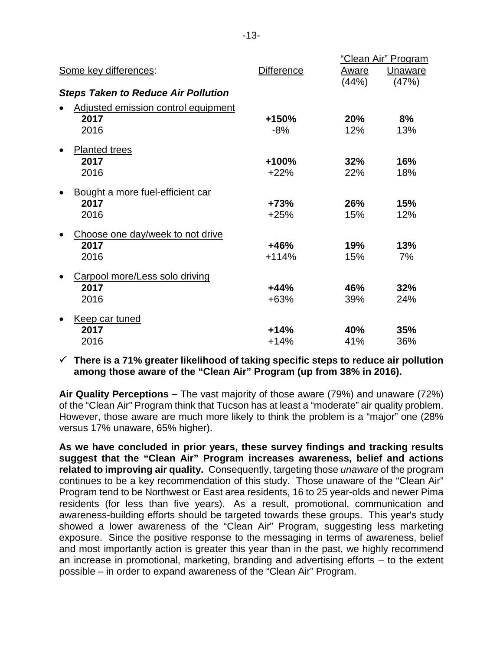|                                            |            |       | "Clean Air" Program |
|--------------------------------------------|------------|-------|---------------------|
| Some key differences:                      | Difference | Aware | Unaware             |
|                                            |            | (44%) | (47%)               |
| <b>Steps Taken to Reduce Air Pollution</b> |            |       |                     |
| Adjusted emission control equipment        |            |       |                     |
| 2017                                       | +150%      | 20%   | 8%                  |
| 2016                                       | $-8%$      | 12%   | 13%                 |
| <b>Planted trees</b>                       |            |       |                     |
| 2017                                       | +100%      | 32%   | 16%                 |
| 2016                                       | $+22%$     | 22%   | 18%                 |
| Bought a more fuel-efficient car           |            |       |                     |
| 2017                                       | $+73%$     | 26%   | 15%                 |
| 2016                                       | $+25%$     | 15%   | 12%                 |
| Choose one day/week to not drive           |            |       |                     |
| 2017                                       | $+46%$     | 19%   | 13%                 |
| 2016                                       | $+114%$    | 15%   | 7%                  |
| Carpool more/Less solo driving             |            |       |                     |
| 2017                                       | $+44%$     | 46%   | 32%                 |
| 2016                                       | $+63%$     | 39%   | 24%                 |
| Keep car tuned                             |            |       |                     |
| 2017                                       | $+14%$     | 40%   | 35%                 |
| 2016                                       | $+14%$     | 41%   | 36%                 |

 **There is a 71% greater likelihood of taking specific steps to reduce air pollution among those aware of the "Clean Air" Program (up from 38% in 2016).**

**Air Quality Perceptions –** The vast majority of those aware (79%) and unaware (72%) of the "Clean Air" Program think that Tucson has at least a "moderate" air quality problem. However, those aware are much more likely to think the problem is a "major" one (28% versus 17% unaware, 65% higher).

**As we have concluded in prior years, these survey findings and tracking results suggest that the "Clean Air" Program increases awareness, belief and actions related to improving air quality.** Consequently, targeting those *unaware* of the program continues to be a key recommendation of this study. Those unaware of the "Clean Air" Program tend to be Northwest or East area residents, 16 to 25 year-olds and newer Pima residents (for less than five years). As a result, promotional, communication and awareness-building efforts should be targeted towards these groups. This year's study showed a lower awareness of the "Clean Air" Program, suggesting less marketing exposure. Since the positive response to the messaging in terms of awareness, belief and most importantly action is greater this year than in the past, we highly recommend an increase in promotional, marketing, branding and advertising efforts – to the extent possible – in order to expand awareness of the "Clean Air" Program.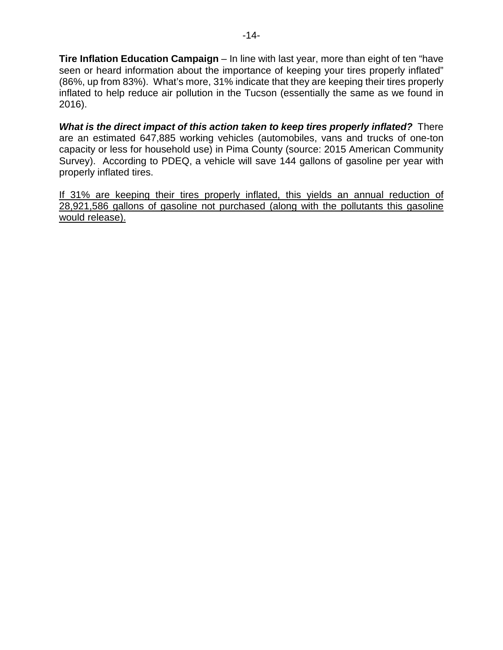**Tire Inflation Education Campaign** – In line with last year, more than eight of ten "have seen or heard information about the importance of keeping your tires properly inflated" (86%, up from 83%). What's more, 31% indicate that they are keeping their tires properly inflated to help reduce air pollution in the Tucson (essentially the same as we found in 2016).

*What is the direct impact of this action taken to keep tires properly inflated?* There are an estimated 647,885 working vehicles (automobiles, vans and trucks of one-ton capacity or less for household use) in Pima County (source: 2015 American Community Survey). According to PDEQ, a vehicle will save 144 gallons of gasoline per year with properly inflated tires.

If 31% are keeping their tires properly inflated, this yields an annual reduction of 28,921,586 gallons of gasoline not purchased (along with the pollutants this gasoline would release).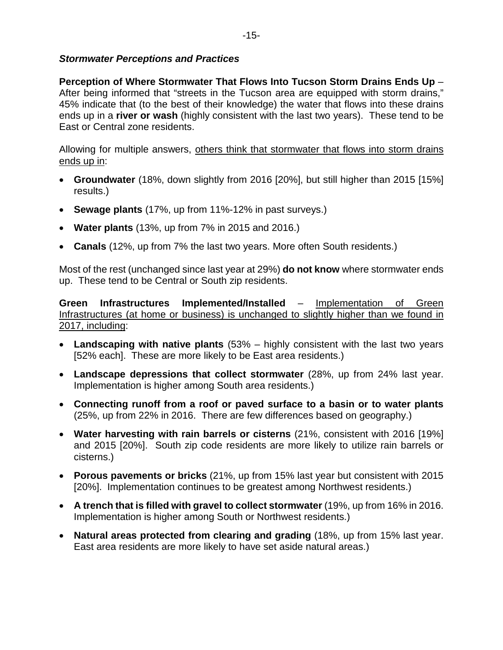# *Stormwater Perceptions and Practices*

**Perception of Where Stormwater That Flows Into Tucson Storm Drains Ends Up** – After being informed that "streets in the Tucson area are equipped with storm drains," 45% indicate that (to the best of their knowledge) the water that flows into these drains ends up in a **river or wash** (highly consistent with the last two years). These tend to be East or Central zone residents.

Allowing for multiple answers, others think that stormwater that flows into storm drains ends up in:

- **Groundwater** (18%, down slightly from 2016 [20%], but still higher than 2015 [15%] results.)
- **Sewage plants** (17%, up from 11%-12% in past surveys.)
- **Water plants** (13%, up from 7% in 2015 and 2016.)
- **Canals** (12%, up from 7% the last two years. More often South residents.)

Most of the rest (unchanged since last year at 29%) **do not know** where stormwater ends up. These tend to be Central or South zip residents.

**Green Infrastructures Implemented/Installed** – Implementation of Green Infrastructures (at home or business) is unchanged to slightly higher than we found in 2017, including:

- **Landscaping with native plants** (53% highly consistent with the last two years [52% each]. These are more likely to be East area residents.)
- **Landscape depressions that collect stormwater** (28%, up from 24% last year. Implementation is higher among South area residents.)
- **Connecting runoff from a roof or paved surface to a basin or to water plants** (25%, up from 22% in 2016. There are few differences based on geography.)
- **Water harvesting with rain barrels or cisterns** (21%, consistent with 2016 [19%] and 2015 [20%]. South zip code residents are more likely to utilize rain barrels or cisterns.)
- **Porous pavements or bricks** (21%, up from 15% last year but consistent with 2015 [20%]. Implementation continues to be greatest among Northwest residents.)
- **A trench that is filled with gravel to collect stormwater** (19%, up from 16% in 2016. Implementation is higher among South or Northwest residents.)
- **Natural areas protected from clearing and grading** (18%, up from 15% last year. East area residents are more likely to have set aside natural areas.)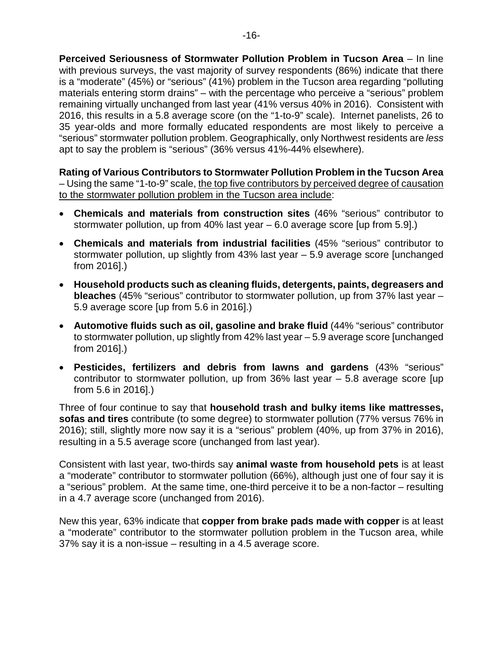**Perceived Seriousness of Stormwater Pollution Problem in Tucson Area** – In line with previous surveys, the vast majority of survey respondents (86%) indicate that there is a "moderate" (45%) or "serious" (41%) problem in the Tucson area regarding "polluting materials entering storm drains" – with the percentage who perceive a "serious" problem remaining virtually unchanged from last year (41% versus 40% in 2016). Consistent with 2016, this results in a 5.8 average score (on the "1-to-9" scale). Internet panelists, 26 to 35 year-olds and more formally educated respondents are most likely to perceive a "serious" stormwater pollution problem. Geographically, only Northwest residents are *less* apt to say the problem is "serious" (36% versus 41%-44% elsewhere).

**Rating of Various Contributors to Stormwater Pollution Problem in the Tucson Area** – Using the same "1-to-9" scale, the top five contributors by perceived degree of causation to the stormwater pollution problem in the Tucson area include:

- **Chemicals and materials from construction sites** (46% "serious" contributor to stormwater pollution, up from 40% last year – 6.0 average score [up from 5.9].)
- **Chemicals and materials from industrial facilities** (45% "serious" contributor to stormwater pollution, up slightly from 43% last year – 5.9 average score [unchanged from 2016].)
- **Household products such as cleaning fluids, detergents, paints, degreasers and bleaches** (45% "serious" contributor to stormwater pollution, up from 37% last year – 5.9 average score [up from 5.6 in 2016].)
- **Automotive fluids such as oil, gasoline and brake fluid** (44% "serious" contributor to stormwater pollution, up slightly from 42% last year – 5.9 average score [unchanged from 2016].)
- **Pesticides, fertilizers and debris from lawns and gardens** (43% "serious" contributor to stormwater pollution, up from 36% last year – 5.8 average score [up from 5.6 in 2016].)

Three of four continue to say that **household trash and bulky items like mattresses, sofas and tires** contribute (to some degree) to stormwater pollution (77% versus 76% in 2016); still, slightly more now say it is a "serious" problem (40%, up from 37% in 2016), resulting in a 5.5 average score (unchanged from last year).

Consistent with last year, two-thirds say **animal waste from household pets** is at least a "moderate" contributor to stormwater pollution (66%), although just one of four say it is a "serious" problem. At the same time, one-third perceive it to be a non-factor – resulting in a 4.7 average score (unchanged from 2016).

New this year, 63% indicate that **copper from brake pads made with copper** is at least a "moderate" contributor to the stormwater pollution problem in the Tucson area, while 37% say it is a non-issue – resulting in a 4.5 average score.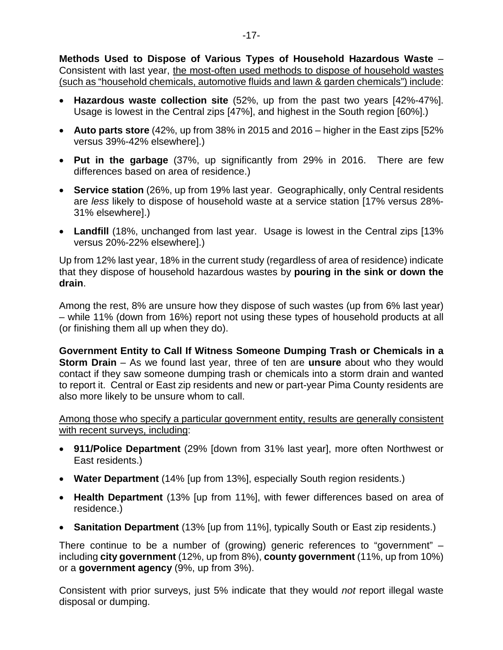**Methods Used to Dispose of Various Types of Household Hazardous Waste** – Consistent with last year, the most-often used methods to dispose of household wastes (such as "household chemicals, automotive fluids and lawn & garden chemicals") include:

- **Hazardous waste collection site** (52%, up from the past two years [42%-47%]. Usage is lowest in the Central zips [47%], and highest in the South region [60%].)
- **Auto parts store** (42%, up from 38% in 2015 and 2016 higher in the East zips [52% versus 39%-42% elsewhere].)
- **Put in the garbage** (37%, up significantly from 29% in 2016. There are few differences based on area of residence.)
- **Service station** (26%, up from 19% last year. Geographically, only Central residents are *less* likely to dispose of household waste at a service station [17% versus 28%- 31% elsewhere].)
- **Landfill** (18%, unchanged from last year. Usage is lowest in the Central zips [13% versus 20%-22% elsewhere].)

Up from 12% last year, 18% in the current study (regardless of area of residence) indicate that they dispose of household hazardous wastes by **pouring in the sink or down the drain**.

Among the rest, 8% are unsure how they dispose of such wastes (up from 6% last year) – while 11% (down from 16%) report not using these types of household products at all (or finishing them all up when they do).

**Government Entity to Call If Witness Someone Dumping Trash or Chemicals in a Storm Drain** – As we found last year, three of ten are **unsure** about who they would contact if they saw someone dumping trash or chemicals into a storm drain and wanted to report it. Central or East zip residents and new or part-year Pima County residents are also more likely to be unsure whom to call.

Among those who specify a particular government entity, results are generally consistent with recent surveys, including:

- **911/Police Department** (29% [down from 31% last year], more often Northwest or East residents.)
- **Water Department** (14% [up from 13%], especially South region residents.)
- **Health Department** (13% [up from 11%], with fewer differences based on area of residence.)
- **Sanitation Department** (13% [up from 11%], typically South or East zip residents.)

There continue to be a number of (growing) generic references to "government" – including **city government** (12%, up from 8%), **county government** (11%, up from 10%) or a **government agency** (9%, up from 3%).

Consistent with prior surveys, just 5% indicate that they would *not* report illegal waste disposal or dumping.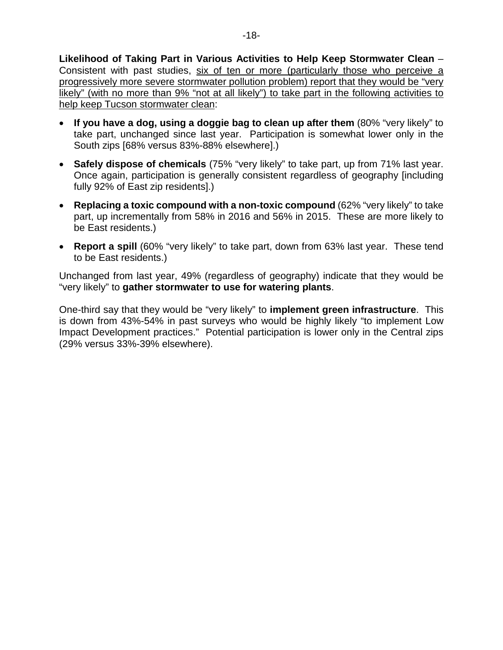**Likelihood of Taking Part in Various Activities to Help Keep Stormwater Clean** – Consistent with past studies, six of ten or more (particularly those who perceive a progressively more severe stormwater pollution problem) report that they would be "very likely" (with no more than 9% "not at all likely") to take part in the following activities to help keep Tucson stormwater clean:

- **If you have a dog, using a doggie bag to clean up after them** (80% "very likely" to take part, unchanged since last year. Participation is somewhat lower only in the South zips [68% versus 83%-88% elsewhere].)
- **Safely dispose of chemicals** (75% "very likely" to take part, up from 71% last year. Once again, participation is generally consistent regardless of geography [including fully 92% of East zip residents].)
- **Replacing a toxic compound with a non-toxic compound** (62% "very likely" to take part, up incrementally from 58% in 2016 and 56% in 2015. These are more likely to be East residents.)
- **Report a spill** (60% "very likely" to take part, down from 63% last year. These tend to be East residents.)

Unchanged from last year, 49% (regardless of geography) indicate that they would be "very likely" to **gather stormwater to use for watering plants**.

One-third say that they would be "very likely" to **implement green infrastructure**. This is down from 43%-54% in past surveys who would be highly likely "to implement Low Impact Development practices." Potential participation is lower only in the Central zips (29% versus 33%-39% elsewhere).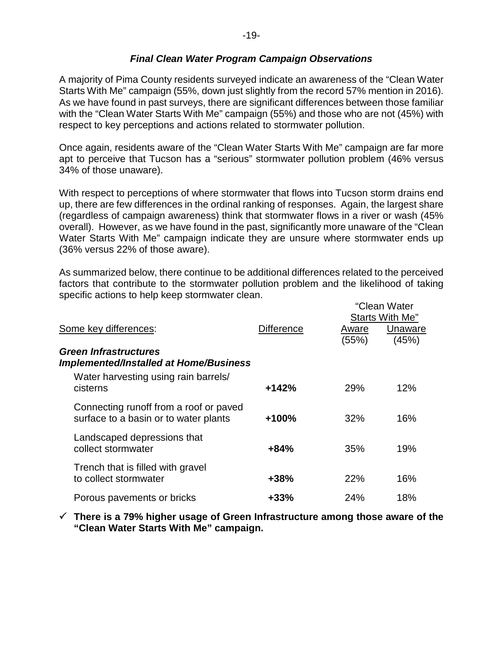## *Final Clean Water Program Campaign Observations*

A majority of Pima County residents surveyed indicate an awareness of the "Clean Water Starts With Me" campaign (55%, down just slightly from the record 57% mention in 2016). As we have found in past surveys, there are significant differences between those familiar with the "Clean Water Starts With Me" campaign (55%) and those who are not (45%) with respect to key perceptions and actions related to stormwater pollution.

Once again, residents aware of the "Clean Water Starts With Me" campaign are far more apt to perceive that Tucson has a "serious" stormwater pollution problem (46% versus 34% of those unaware).

With respect to perceptions of where stormwater that flows into Tucson storm drains end up, there are few differences in the ordinal ranking of responses. Again, the largest share (regardless of campaign awareness) think that stormwater flows in a river or wash (45% overall). However, as we have found in the past, significantly more unaware of the "Clean Water Starts With Me" campaign indicate they are unsure where stormwater ends up (36% versus 22% of those aware).

As summarized below, there continue to be additional differences related to the perceived factors that contribute to the stormwater pollution problem and the likelihood of taking specific actions to help keep stormwater clean. "Clean Water

|                                                                                 |                   | UIGAII VVALGI<br>Starts With Me" |                  |  |
|---------------------------------------------------------------------------------|-------------------|----------------------------------|------------------|--|
| Some key differences:                                                           | <b>Difference</b> | Aware<br>(55%)                   | Unaware<br>(45%) |  |
| <b>Green Infrastructures</b><br>Implemented/Installed at Home/Business          |                   |                                  |                  |  |
| Water harvesting using rain barrels/<br>cisterns                                | $+142%$           | 29%                              | 12%              |  |
| Connecting runoff from a roof or paved<br>surface to a basin or to water plants | $+100%$           | 32%                              | 16%              |  |
| Landscaped depressions that<br>collect stormwater                               | $+84%$            | 35%                              | 19%              |  |
| Trench that is filled with gravel<br>to collect stormwater                      | +38%              | <b>22%</b>                       | 16%              |  |
| Porous pavements or bricks                                                      | $+33%$            | 24%                              | 18%              |  |

 **There is a 79% higher usage of Green Infrastructure among those aware of the "Clean Water Starts With Me" campaign.**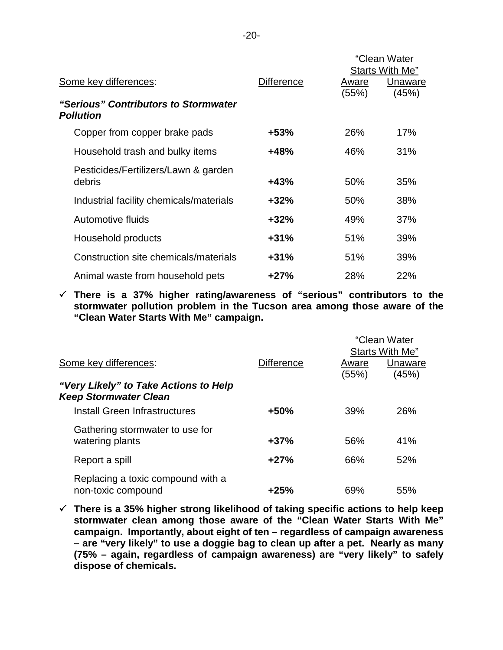|                                                          |                   |       | "Clean Water<br>Starts With Me" |
|----------------------------------------------------------|-------------------|-------|---------------------------------|
| Some key differences:                                    | <b>Difference</b> | Aware | Unaware                         |
| "Serious" Contributors to Stormwater<br><b>Pollution</b> |                   | (55%) | (45%)                           |
| Copper from copper brake pads                            | +53%              | 26%   | 17%                             |
| Household trash and bulky items                          | $+48%$            | 46%   | 31%                             |
| Pesticides/Fertilizers/Lawn & garden<br>debris           | $+43%$            | 50%   | 35%                             |
| Industrial facility chemicals/materials                  | $+32%$            | 50%   | 38%                             |
| Automotive fluids                                        | $+32%$            | 49%   | 37%                             |
| Household products                                       | $+31%$            | 51%   | 39%                             |
| Construction site chemicals/materials                    | $+31%$            | 51%   | 39%                             |
| Animal waste from household pets                         | $+27%$            | 28%   | 22%                             |

 **There is a 37% higher rating/awareness of "serious" contributors to the stormwater pollution problem in the Tucson area among those aware of the "Clean Water Starts With Me" campaign.**

|                                                                       |                   | "Clean Water<br>Starts With Me" |         |
|-----------------------------------------------------------------------|-------------------|---------------------------------|---------|
| Some key differences:                                                 | <b>Difference</b> | Aware                           | Unaware |
| "Very Likely" to Take Actions to Help<br><b>Keep Stormwater Clean</b> |                   | (55%)                           | (45%)   |
| Install Green Infrastructures                                         | +50%              | 39%                             | 26%     |
| Gathering stormwater to use for<br>watering plants                    | $+37%$            | 56%                             | 41%     |
| Report a spill                                                        | $+27%$            | 66%                             | 52%     |
| Replacing a toxic compound with a<br>non-toxic compound               | $+25%$            | 69%                             | 55%     |

 **There is a 35% higher strong likelihood of taking specific actions to help keep stormwater clean among those aware of the "Clean Water Starts With Me" campaign. Importantly, about eight of ten – regardless of campaign awareness – are "very likely" to use a doggie bag to clean up after a pet. Nearly as many (75% – again, regardless of campaign awareness) are "very likely" to safely dispose of chemicals.**